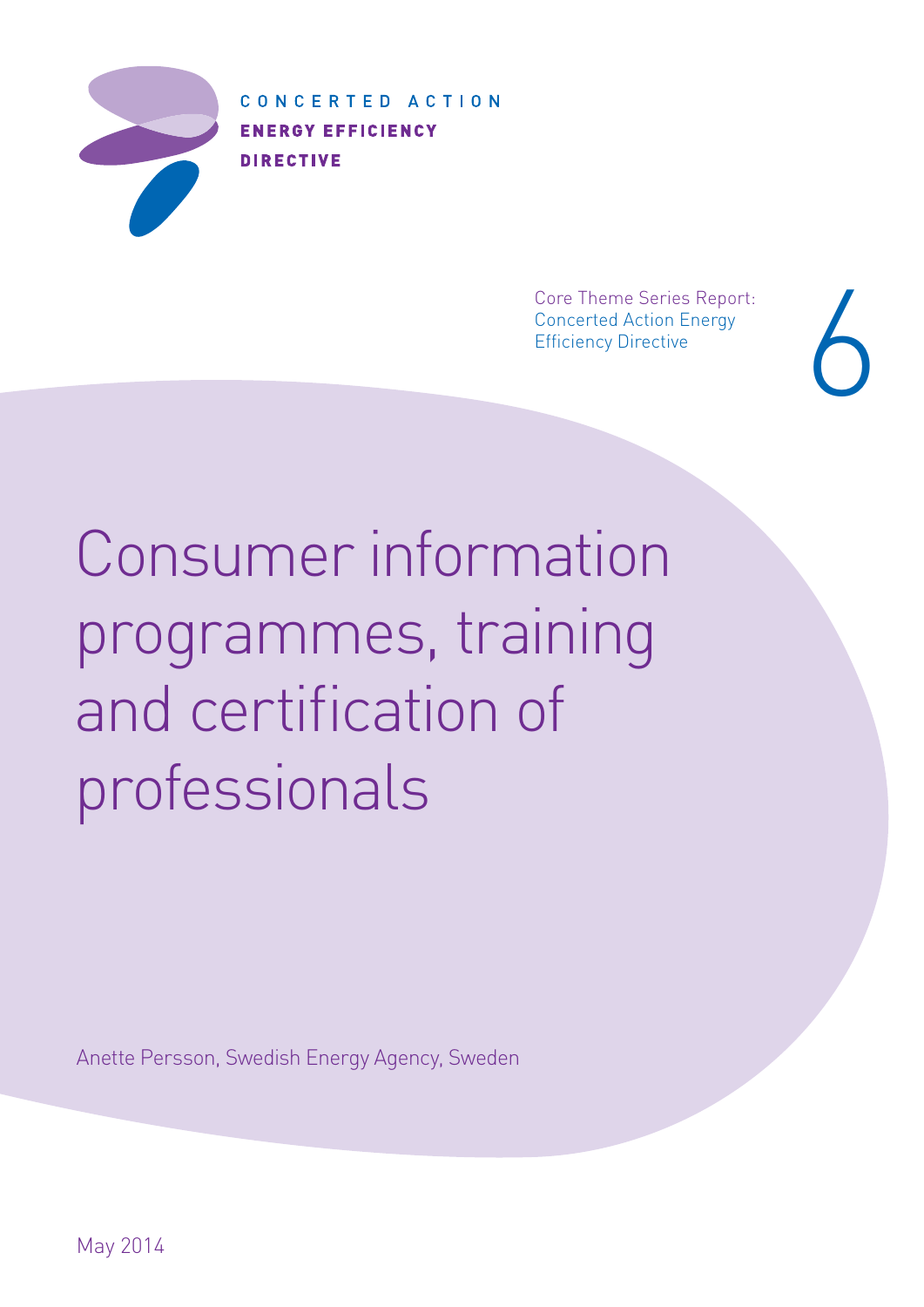

CONCERTED ACTION **ENERGY EFFICIENCY DIRECTIVE** 

> Core Theme Series Report: Concerted Action Energy Core Theme Series Report:<br>Concerted Action Energy<br>Efficiency Directive

Consumer information programmes, training and certification of professionals

Anette Persson, Swedish Energy Agency, Sweden

May 2014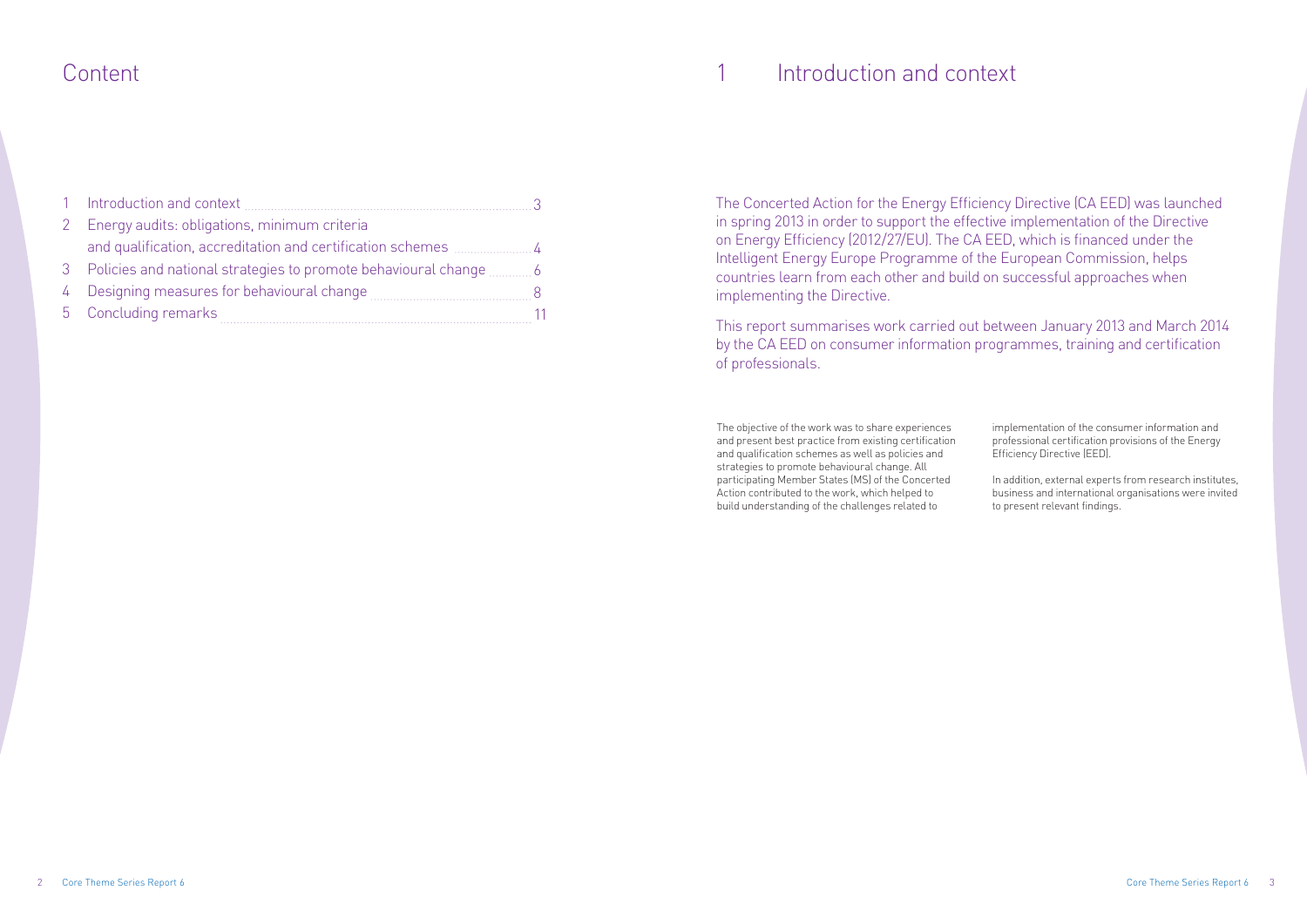# Content **Introduction and context**

The objective of the work was to share experiences and present best practice from existing certification and qualification schemes as well as policies and strategies to promote behavioural change. All participating Member States (MS) of the Concerted Action contributed to the work, which helped to build understanding of the challenges related to

implementation of the consumer information and professional certification provisions of the Energy Efficiency Directive (EED).

In addition, external experts from research institutes, business and international organisations were invited to present relevant findings.

The Concerted Action for the Energy Efficiency Directive (CA EED) was launched in spring 2013 in order to support the effective implementation of the Directive on Energy Efficiency (2012/27/EU). The CA EED, which is financed under the Intelligent Energy Europe Programme of the European Commission, helps countries learn from each other and build on successful approaches when implementing the Directive.

This report summarises work carried out between January 2013 and March 2014 by the CA EED on consumer information programmes, training and certification of professionals.

| 1 Introduction and context                     |  |
|------------------------------------------------|--|
| 2 Energy audits: obligations, minimum criteria |  |
|                                                |  |
|                                                |  |
| 4 Designing measures for behavioural change    |  |
| 5 Concluding remarks                           |  |

1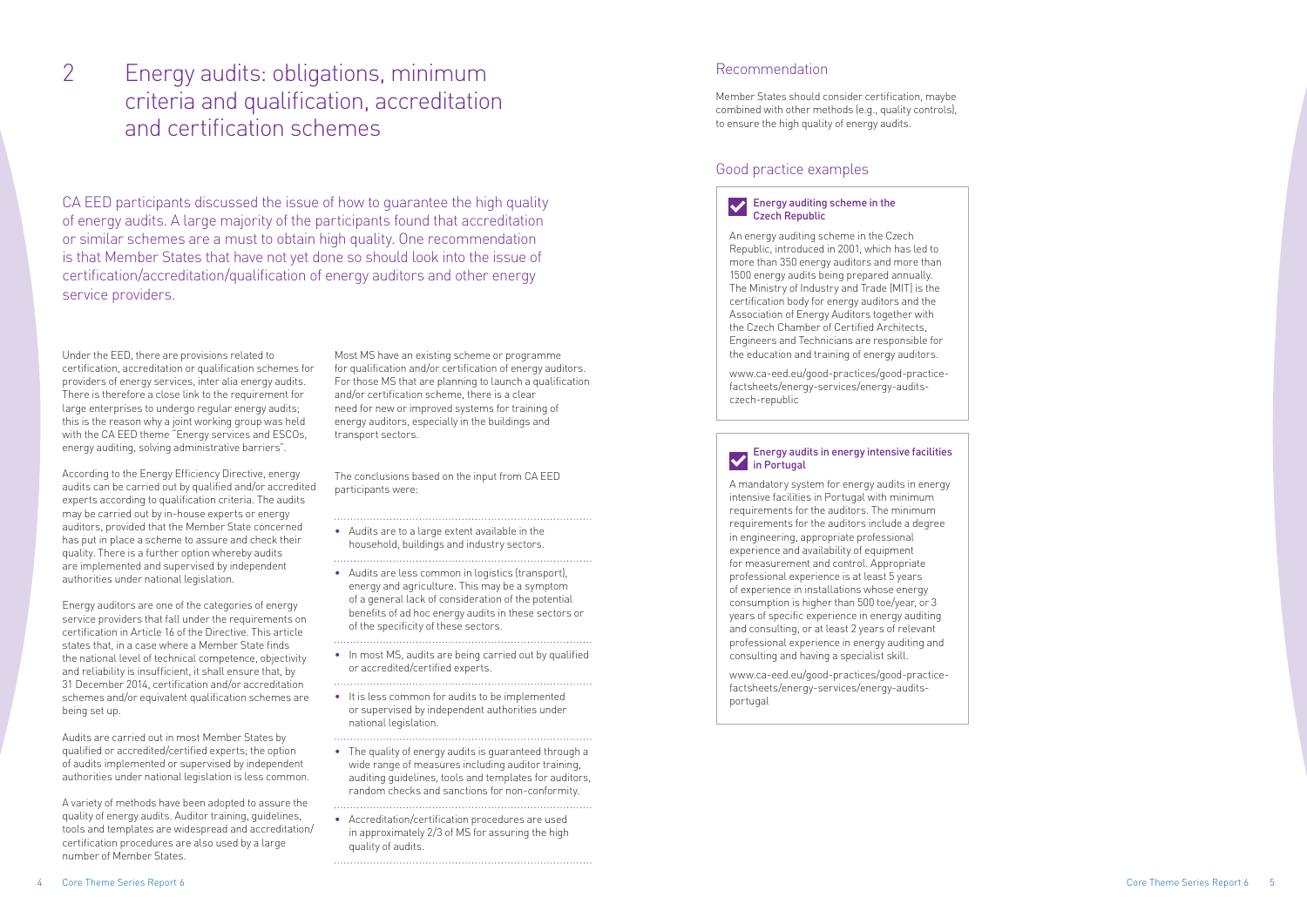# Recommendation

# $\sum$  Energy auditing scheme in the Czech Republic

Member States should consider certification, maybe combined with other methods (e.g., quality controls), to ensure the high quality of energy audits.

## Good practice examples

An energy auditing scheme in the Czech Republic, introduced in 2001, which has led to more than 350 energy auditors and more than 1500 energy audits being prepared annually. The Ministry of Industry and Trade (MIT) is the certification body for energy auditors and the Association of Energy Auditors together with the Czech Chamber of Certified Architects, Engineers and Technicians are responsible for the education and training of energy auditors.

www.ca-eed.eu/good-practices/good-practicefactsheets/energy-services/energy-auditsczech-republic

### Energy audits in energy intensive facilities in Portugal

A mandatory system for energy audits in energy intensive facilities in Portugal with minimum requirements for the auditors. The minimum requirements for the auditors include a degree in engineering, appropriate professional experience and availability of equipment for measurement and control. Appropriate professional experience is at least 5 years of experience in installations whose energy consumption is higher than 500 toe/year, or 3 years of specific experience in energy auditing and consulting, or at least 2 years of relevant professional experience in energy auditing and consulting and having a specialist skill.

www.ca-eed.eu/good-practices/good-practicefactsheets/energy-services/energy-auditsportugal

Core Theme Series Report 6 5

Under the EED, there are provisions related to certification, accreditation or qualification schemes for providers of energy services, inter alia energy audits. There is therefore a close link to the requirement for large enterprises to undergo regular energy audits; this is the reason why a joint working group was held with the CA EED theme "Energy services and ESCOs, energy auditing, solving administrative barriers".

According to the Energy Efficiency Directive, energy audits can be carried out by qualified and/or accredited experts according to qualification criteria. The audits may be carried out by in-house experts or energy auditors, provided that the Member State concerned has put in place a scheme to assure and check their quality. There is a further option whereby audits are implemented and supervised by independent authorities under national legislation.

Energy auditors are one of the categories of energy service providers that fall under the requirements on certification in Article 16 of the Directive. This article states that, in a case where a Member State finds the national level of technical competence, objectivity and reliability is insufficient, it shall ensure that, by 31 December 2014, certification and/or accreditation schemes and/or equivalent qualification schemes are being set up.

Audits are carried out in most Member States by qualified or accredited/certified experts; the option of audits implemented or supervised by independent authorities under national legislation is less common.

A variety of methods have been adopted to assure the quality of energy audits. Auditor training, guidelines, tools and templates are widespread and accreditation/ certification procedures are also used by a large number of Member States.

Most MS have an existing scheme or programme for qualification and/or certification of energy auditors. For those MS that are planning to launch a qualification and/or certification scheme, there is a clear need for new or improved systems for training of energy auditors, especially in the buildings and transport sectors.

The conclusions based on the input from CA EED participants were:

• Audits are to a large extent available in the household, buildings and industry sectors.

- Audits are less common in logistics (transport), energy and agriculture. This may be a symptom of a general lack of consideration of the potential benefits of ad hoc energy audits in these sectors or of the specificity of these sectors.
- In most MS, audits are being carried out by qualified or accredited/certified experts.
- 
- It is less common for audits to be implemented or supervised by independent authorities under national legislation.
- The quality of energy audits is guaranteed through a wide range of measures including auditor training. auditing guidelines, tools and templates for auditors, random checks and sanctions for non-conformity.
- Accreditation/certification procedures are used in approximately 2/3 of MS for assuring the high quality of audits.

CA EED participants discussed the issue of how to guarantee the high quality of energy audits. A large majority of the participants found that accreditation or similar schemes are a must to obtain high quality. One recommendation is that Member States that have not yet done so should look into the issue of certification/accreditation/qualification of energy auditors and other energy service providers.

# Energy audits: obligations, minimum criteria and qualification, accreditation and certification schemes

2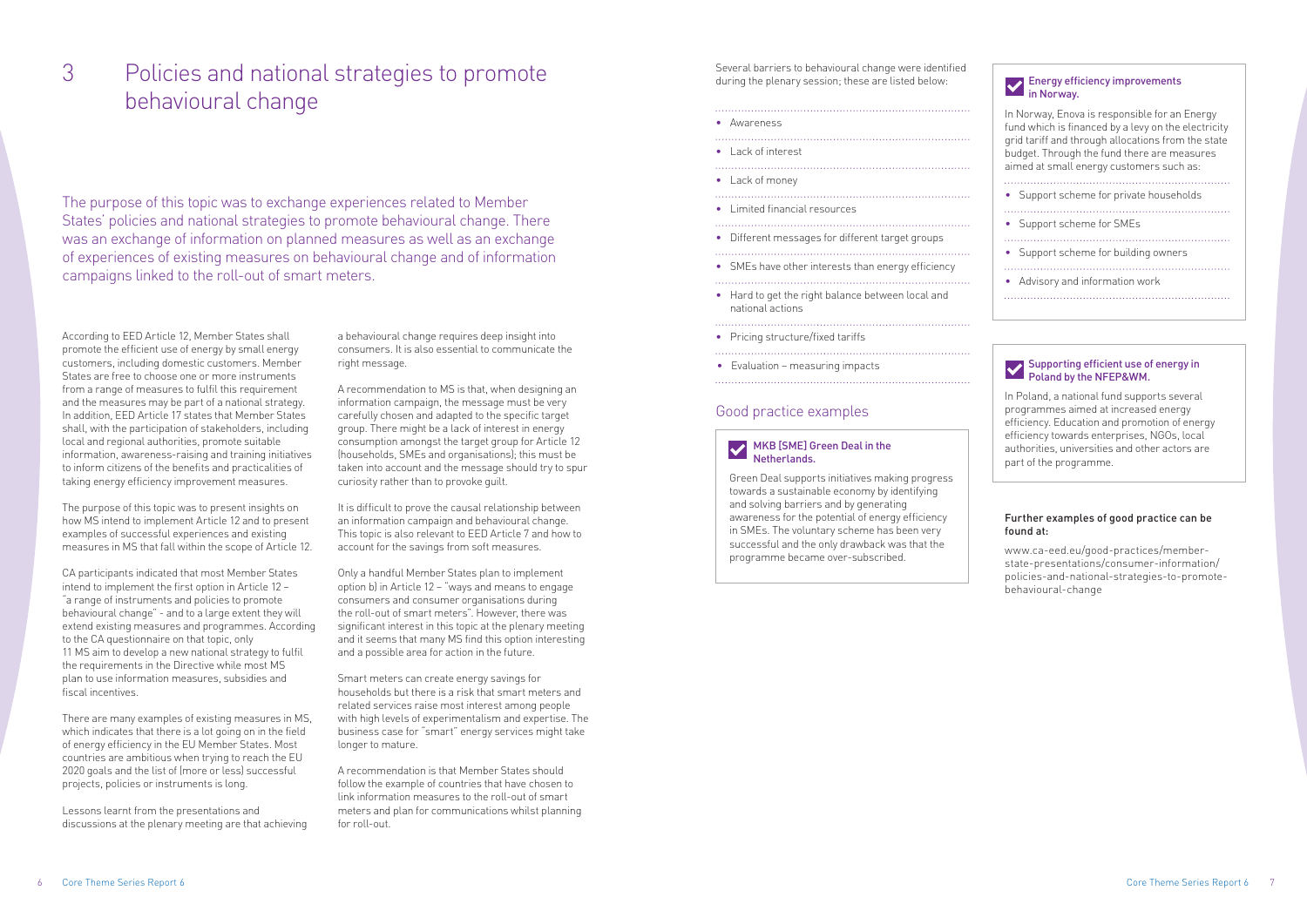Several barriers to behavioural change were identified during the plenary session; these are listed below:

- Awareness
- Lack of interest
- • Lack of money
- 
- Limited financial resources
- • Different messages for different target groups
- • SMEs have other interests than energy efficiency
- • Hard to get the right balance between local and

- national actions
- Pricing structure/fixed tariffs

- 
- Evaluation measuring impacts

## Good practice examples

### MKB [SME] Green Deal in the Netherlands.

Green Deal supports initiatives making progress towards a sustainable economy by identifying and solving barriers and by generating awareness for the potential of energy efficiency in SMEs. The voluntary scheme has been very successful and the only drawback was that the programme became over-subscribed.

| <b>Energy efficiency improvements</b><br>in Norway.                                                                                                                                                                                                   |
|-------------------------------------------------------------------------------------------------------------------------------------------------------------------------------------------------------------------------------------------------------|
| In Norway, Enova is responsible for an Energy<br>fund which is financed by a levy on the electricity<br>grid tariff and through allocations from the state<br>budget. Through the fund there are measures<br>aimed at small energy customers such as: |
| • Support scheme for private households                                                                                                                                                                                                               |
| • Support scheme for SMEs                                                                                                                                                                                                                             |
| • Support scheme for building owners                                                                                                                                                                                                                  |
| Advisory and information work                                                                                                                                                                                                                         |

### Supporting efficient use of energy in Poland by the NFEP&WM.

In Poland, a national fund supports several programmes aimed at increased energy efficiency. Education and promotion of energy efficiency towards enterprises, NGOs, local authorities, universities and other actors are part of the programme.

### Further examples of good practice can be found at:

www.ca-eed.eu/good-practices/memberstate-presentations/consumer-information/ policies-and-national-strategies-to-promotebehavioural-change

According to EED Article 12, Member States shall promote the efficient use of energy by small energy customers, including domestic customers. Member States are free to choose one or more instruments from a range of measures to fulfil this requirement and the measures may be part of a national strategy. In addition, EED Article 17 states that Member States shall, with the participation of stakeholders, including local and regional authorities, promote suitable information, awareness-raising and training initiatives to inform citizens of the benefits and practicalities of taking energy efficiency improvement measures.

The purpose of this topic was to present insights on how MS intend to implement Article 12 and to present examples of successful experiences and existing measures in MS that fall within the scope of Article 12.

CA participants indicated that most Member States intend to implement the first option in Article 12 – "a range of instruments and policies to promote behavioural change" - and to a large extent they will extend existing measures and programmes. According to the CA questionnaire on that topic, only 11 MS aim to develop a new national strategy to fulfil the requirements in the Directive while most MS plan to use information measures, subsidies and fiscal incentives.

There are many examples of existing measures in MS, which indicates that there is a lot going on in the field of energy efficiency in the EU Member States. Most countries are ambitious when trying to reach the EU 2020 goals and the list of (more or less) successful projects, policies or instruments is long.

Lessons learnt from the presentations and discussions at the plenary meeting are that achieving a behavioural change requires deep insight into consumers. It is also essential to communicate the right message.

A recommendation to MS is that, when designing an information campaign, the message must be very carefully chosen and adapted to the specific target group. There might be a lack of interest in energy consumption amongst the target group for Article 12 (households, SMEs and organisations); this must be taken into account and the message should try to spur curiosity rather than to provoke guilt.

It is difficult to prove the causal relationship between an information campaign and behavioural change. This topic is also relevant to EED Article 7 and how to account for the savings from soft measures.

Only a handful Member States plan to implement option b) in Article 12 – "ways and means to engage consumers and consumer organisations during the roll-out of smart meters". However, there was significant interest in this topic at the plenary meeting and it seems that many MS find this option interesting and a possible area for action in the future.

Smart meters can create energy savings for households but there is a risk that smart meters and related services raise most interest among people with high levels of experimentalism and expertise. The business case for "smart" energy services might take longer to mature.

A recommendation is that Member States should follow the example of countries that have chosen to link information measures to the roll-out of smart meters and plan for communications whilst planning for roll-out.

The purpose of this topic was to exchange experiences related to Member States' policies and national strategies to promote behavioural change. There was an exchange of information on planned measures as well as an exchange of experiences of existing measures on behavioural change and of information campaigns linked to the roll-out of smart meters.

# Policies and national strategies to promote behavioural change 3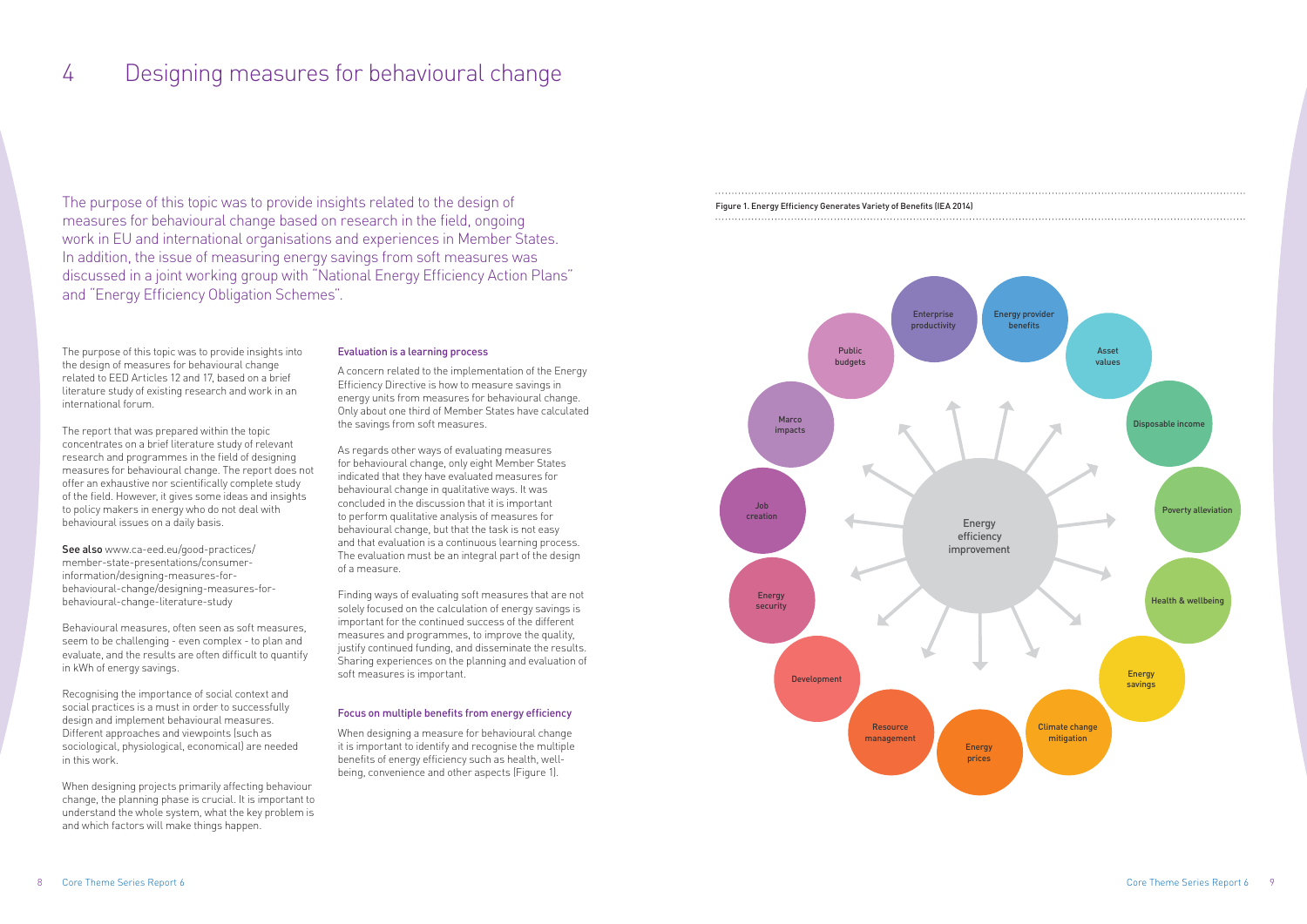The purpose of this topic was to provide insights into the design of measures for behavioural change related to EED Articles 12 and 17, based on a brief literature study of existing research and work in an international forum.

The report that was prepared within the topic concentrates on a brief literature study of relevant research and programmes in the field of designing measures for behavioural change. The report does not offer an exhaustive nor scientifically complete study of the field. However, it gives some ideas and insights to policy makers in energy who do not deal with behavioural issues on a daily basis.

See also www.ca-eed.eu/good-practices/ member-state-presentations/consumerinformation/designing-measures-forbehavioural-change/designing-measures-forbehavioural-change-literature-study

Behavioural measures, often seen as soft measures, seem to be challenging - even complex - to plan and evaluate, and the results are often difficult to quantify in kWh of energy savings.

Recognising the importance of social context and social practices is a must in order to successfully design and implement behavioural measures. Different approaches and viewpoints (such as sociological, physiological, economical) are needed in this work.

When designing projects primarily affecting behaviour change, the planning phase is crucial. It is important to understand the whole system, what the key problem is and which factors will make things happen.

### Evaluation is a learning process

A concern related to the implementation of the Energy Efficiency Directive is how to measure savings in energy units from measures for behavioural change. Only about one third of Member States have calculated the savings from soft measures.

As regards other ways of evaluating measures for behavioural change, only eight Member States indicated that they have evaluated measures for behavioural change in qualitative ways. It was concluded in the discussion that it is important to perform qualitative analysis of measures for behavioural change, but that the task is not easy and that evaluation is a continuous learning process. The evaluation must be an integral part of the design of a measure.

Finding ways of evaluating soft measures that are not solely focused on the calculation of energy savings is important for the continued success of the different measures and programmes, to improve the quality, justify continued funding, and disseminate the results. Sharing experiences on the planning and evaluation of soft measures is important.

### Focus on multiple benefits from energy efficiency

When designing a measure for behavioural change it is important to identify and recognise the multiple benefits of energy efficiency such as health, wellbeing, convenience and other aspects (Figure 1).

The purpose of this topic was to provide insights related to the design of measures for behavioural change based on research in the field, ongoing work in EU and international organisations and experiences in Member States. In addition, the issue of measuring energy savings from soft measures was discussed in a joint working group with "National Energy Efficiency Action Plans" and "Energy Efficiency Obligation Schemes".

# 4 Designing measures for behavioural change



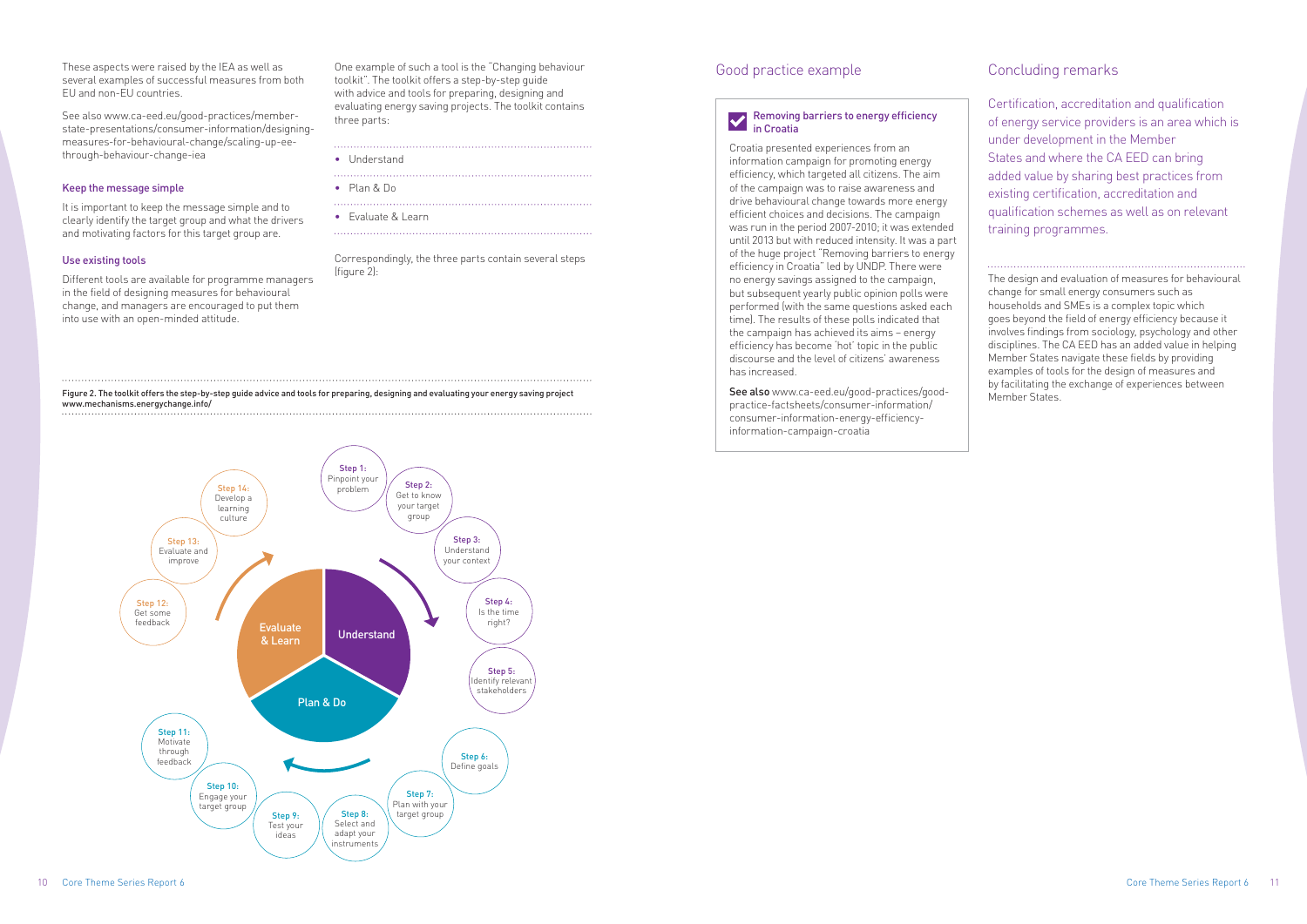These aspects were raised by the IEA as well as several examples of successful measures from both EU and non-EU countries.

See also www.ca-eed.eu/good-practices/memberstate-presentations/consumer-information/designingmeasures-for-behavioural-change/scaling-up-eethrough-behaviour-change-iea

### Keep the message simple

It is important to keep the message simple and to clearly identify the target group and what the drivers and motivating factors for this target group are.

### Use existing tools

Different tools are available for programme managers in the field of designing measures for behavioural change, and managers are encouraged to put them into use with an open-minded attitude.

One example of such a tool is the "Changing behaviour toolkit". The toolkit offers a step-by-step guide with advice and tools for preparing, designing and evaluating energy saving projects. The toolkit contains three parts:

- • Understand
- • Plan & Do
- 
- Evaluate & Learn

Correspondingly, the three parts contain several steps (figure 2):

> See also www.ca-eed.eu/good-practices/goodpractice-factsheets/consumer-information/ consumer-information-energy-efficiencyinformation-campaign-croatia

#### Figure 2. The toolkit offers the step-by-step guide advice and tools for preparing, designing and evaluating your energy saving project www.mechanisms.energychange.info/

# Good practice example

### Removing barriers to energy efficiency in Croatia

Croatia presented experiences from an information campaign for promoting energy efficiency, which targeted all citizens. The aim of the campaign was to raise awareness and drive behavioural change towards more energy efficient choices and decisions. The campaign was run in the period 2007-2010; it was extended until 2013 but with reduced intensity. It was a part of the huge project "Removing barriers to energy efficiency in Croatia" led by UNDP. There were no energy savings assigned to the campaign, but subsequent yearly public opinion polls were performed (with the same questions asked each time). The results of these polls indicated that the campaign has achieved its aims – energy efficiency has become 'hot' topic in the public discourse and the level of citizens' awareness has increased.

# Concluding remarks

Certification, accreditation and qualification of energy service providers is an area which is under development in the Member States and where the CA EED can bring added value by sharing best practices from existing certification, accreditation and qualification schemes as well as on relevant training programmes.

The design and evaluation of measures for behavioural change for small energy consumers such as households and SMEs is a complex topic which goes beyond the field of energy efficiency because it involves findings from sociology, psychology and other disciplines. The CA EED has an added value in helping Member States navigate these fields by providing examples of tools for the design of measures and by facilitating the exchange of experiences between Member States.